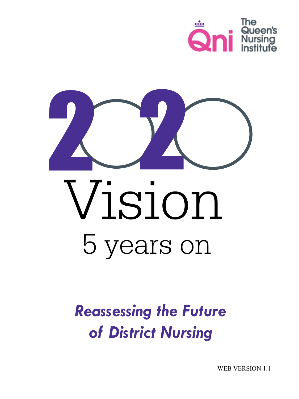



# Vision 5 years on

# *Reassessing the Future of District Nursing*

WEB VERSION 1.1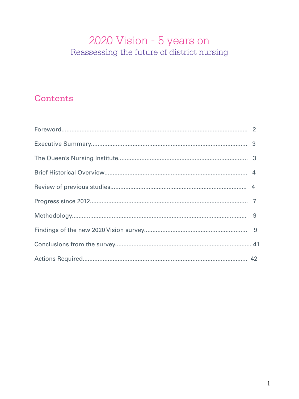# 2020 Vision - 5 years on Reassessing the future of district nursing

# Contents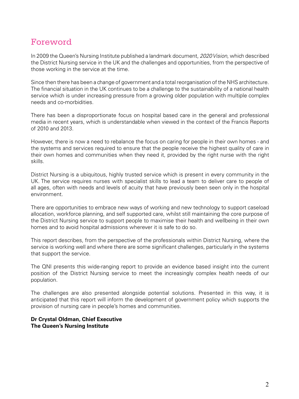# Foreword

In 2009 the Queen's Nursing Institute published a landmark document, *2020 Vision*, which described the District Nursing service in the UK and the challenges and opportunities, from the perspective of those working in the service at the time.

Since then there has been a change of government and a total reorganisation of the NHS architecture. The financial situation in the UK continues to be a challenge to the sustainability of a national health service which is under increasing pressure from a growing older population with multiple complex needs and co-morbidities.

There has been a disproportionate focus on hospital based care in the general and professional media in recent years, which is understandable when viewed in the context of the Francis Reports of 2010 and 2013.

However, there is now a need to rebalance the focus on caring for people in their own homes - and the systems and services required to ensure that the people receive the highest quality of care in their own homes and communities when they need it, provided by the right nurse with the right skills.

District Nursing is a ubiquitous, highly trusted service which is present in every community in the UK. The service requires nurses with specialist skills to lead a team to deliver care to people of all ages, often with needs and levels of acuity that have previously been seen only in the hospital environment.

There are opportunities to embrace new ways of working and new technology to support caseload allocation, workforce planning, and self supported care, whilst still maintaining the core purpose of the District Nursing service to support people to maximise their health and wellbeing in their own homes and to avoid hospital admissions wherever it is safe to do so.

This report describes, from the perspective of the professionals within District Nursing, where the service is working well and where there are some significant challenges, particularly in the systems that support the service.

The QNI presents this wide-ranging report to provide an evidence based insight into the current position of the District Nursing service to meet the increasingly complex health needs of our population.

The challenges are also presented alongside potential solutions. Presented in this way, it is anticipated that this report will inform the development of government policy which supports the provision of nursing care in people's homes and communities.

# **Dr Crystal Oldman, Chief Executive The Queen's Nursing Institute**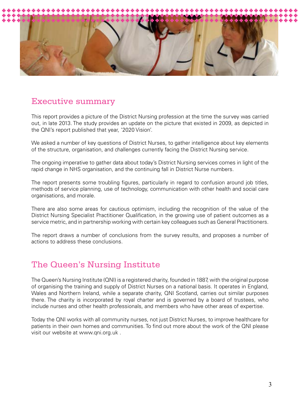

# Executive summary

This report provides a picture of the District Nursing profession at the time the survey was carried out, in late 2013. The study provides an update on the picture that existed in 2009, as depicted in the QNI's report published that year, '2020 Vision'.

We asked a number of key questions of District Nurses, to gather intelligence about key elements of the structure, organisation, and challenges currently facing the District Nursing service.

The ongoing imperative to gather data about today's District Nursing services comes in light of the rapid change in NHS organisation, and the continuing fall in District Nurse numbers.

The report presents some troubling figures, particularly in regard to confusion around job titles, methods of service planning, use of technology, communication with other health and social care organisations, and morale.

There are also some areas for cautious optimism, including the recognition of the value of the District Nursing Specialist Practitioner Qualification, in the growing use of patient outcomes as a service metric, and in partnership working with certain key colleagues such as General Practitioners.

The report draws a number of conclusions from the survey results, and proposes a number of actions to address these conclusions.

# The Queen's Nursing Institute

The Queen's Nursing Institute (QNI) is a registered charity, founded in 1887, with the original purpose of organising the training and supply of District Nurses on a national basis. It operates in England, Wales and Northern Ireland, while a separate charity, QNI Scotland, carries out similar purposes there. The charity is incorporated by royal charter and is governed by a board of trustees, who include nurses and other health professionals, and members who have other areas of expertise.

Today the QNI works with all community nurses, not just District Nurses, to improve healthcare for patients in their own homes and communities. To find out more about the work of the QNI please visit our website at www.qni.org.uk .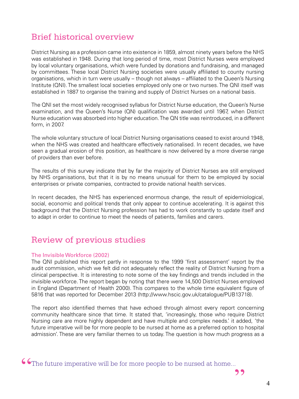# Brief historical overview

District Nursing as a profession came into existence in 1859, almost ninety years before the NHS was established in 1948. During that long period of time, most District Nurses were employed by local voluntary organisations, which were funded by donations and fundraising, and managed by committees. These local District Nursing societies were usually affiliated to county nursing organisations, which in turn were usually – though not always – affiliated to the Queen's Nursing Institute (QNI). The smallest local societies employed only one or two nurses. The QNI itself was established in 1887 to organise the training and supply of District Nurses on a national basis.

The QNI set the most widely recognised syllabus for District Nurse education, the Queen's Nurse examination, and the Queen's Nurse (QN) qualification was awarded until 1967, when District Nurse education was absorbed into higher education. The QN title was reintroduced, in a different form, in 2007.

The whole voluntary structure of local District Nursing organisations ceased to exist around 1948, when the NHS was created and healthcare effectively nationalised. In recent decades, we have seen a gradual erosion of this position, as healthcare is now delivered by a more diverse range of providers than ever before.

The results of this survey indicate that by far the majority of District Nurses are still employed by NHS organisations, but that it is by no means unusual for them to be employed by social enterprises or private companies, contracted to provide national health services.

In recent decades, the NHS has experienced enormous change, the result of epidemiological, social, economic and political trends that only appear to continue accelerating. It is against this background that the District Nursing profession has had to work constantly to update itself and to adapt in order to continue to meet the needs of patients, families and carers.

# Review of previous studies

# The Invisible Workforce (2002)

The QNI published this report partly in response to the 1999 'first assessment' report by the audit commission, which we felt did not adequately reflect the reality of District Nursing from a clinical perspective. It is interesting to note some of the key findings and trends included in the invisible workforce. The report began by noting that there were 14,500 District Nurses employed in England (Department of Health 2000). This compares to the whole time equivalent figure of 5816 that was reported for December 2013 (http://www.hscic.gov.uk/catalogue/PUB13718).

The report also identified themes that have echoed through almost every report concerning community healthcare since that time. It stated that, 'increasingly, those who require District Nursing care are more highly dependent and have multiple and complex needs.' it added, 'the future imperative will be for more people to be nursed at home as a preferred option to hospital admission'. These are very familiar themes to us today. The question is how much progress as a

,,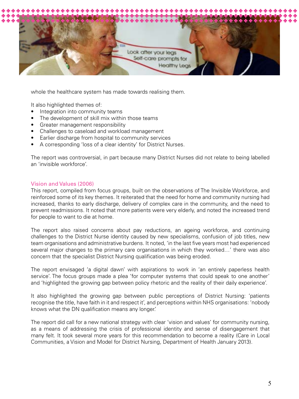

whole the healthcare system has made towards realising them.

It also highlighted themes of:

- Integration into community teams
- The development of skill mix within those teams
- Greater management responsibility
- Challenges to caseload and workload management
- Earlier discharge from hospital to community services
- A corresponding 'loss of a clear identity' for District Nurses.

The report was controversial, in part because many District Nurses did not relate to being labelled an 'invisible workforce'.

#### Vision and Values (2006)

This report, compiled from focus groups, built on the observations of The Invisible Workforce, and reinforced some of its key themes. It reiterated that the need for home and community nursing had increased, thanks to early discharge, delivery of complex care in the community, and the need to prevent readmissions. It noted that more patients were very elderly, and noted the increased trend for people to want to die at home.

The report also raised concerns about pay reductions, an ageing workforce, and continuing challenges to the District Nurse identity caused by new specialisms, confusion of job titles, new team organisations and administrative burdens. It noted, 'in the last five years most had experienced several major changes to the primary care organisations in which they worked…' there was also concern that the specialist District Nursing qualification was being eroded.

The report envisaged 'a digital dawn' with aspirations to work in 'an entirely paperless health service'. The focus groups made a plea 'for computer systems that could speak to one another' and 'highlighted the growing gap between policy rhetoric and the reality of their daily experience'.

It also highlighted the growing gap between public perceptions of District Nursing: 'patients recognise the title, have faith in it and respect it', and perceptions within NHS organisations: 'nobody knows what the DN qualification means any longer.'

The report did call for a new national strategy with clear 'vision and values' for community nursing, as a means of addressing the crisis of professional identity and sense of disengagement that many felt. It took several more years for this recommendation to become a reality (Care in Local Communities, a Vision and Model for District Nursing, Department of Health January 2013).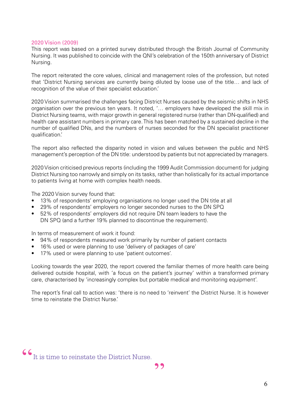#### 2020 Vision (2009)

This report was based on a printed survey distributed through the British Journal of Community Nursing. It was published to coincide with the QNI's celebration of the 150th anniversary of District Nursing.

The report reiterated the core values, clinical and management roles of the profession, but noted that 'District Nursing services are currently being diluted by loose use of the title… and lack of recognition of the value of their specialist education.

2020 Vision summarised the challenges facing District Nurses caused by the seismic shifts in NHS organisation over the previous ten years. It noted, '… employers have developed the skill mix in District Nursing teams, with major growth in general registered nurse (rather than DN-qualified) and health care assistant numbers in primary care. This has been matched by a sustained decline in the number of qualified DNs, and the numbers of nurses seconded for the DN specialist practitioner qualification.'

The report also reflected the disparity noted in vision and values between the public and NHS management's perception of the DN title: understood by patients but not appreciated by managers.

2020 Vision criticised previous reports (including the 1999 Audit Commission document) for judging District Nursing too narrowly and simply on its tasks, rather than holistically for its actual importance to patients living at home with complex health needs.

The 2020 Vision survey found that:

- 13% of respondents' employing organisations no longer used the DN title at all
- 29% of respondents' employers no longer seconded nurses to the DN SPQ
- 52% of respondents' employers did not require DN team leaders to have the DN SPQ (and a further 19% planned to discontinue the requirement).

In terms of measurement of work it found:

- 94% of respondents measured work primarily by number of patient contacts
- 16% used or were planning to use 'delivery of packages of care'
- 17% used or were planning to use 'patient outcomes'.

Looking towards the year 2020, the report covered the familiar themes of more health care being delivered outside hospital, with 'a focus on the patient's journey' within a transformed primary care, characterised by 'increasingly complex but portable medical and monitoring equipment'.

The report's final call to action was: 'there is no need to 'reinvent' the District Nurse. It is however time to reinstate the District Nurse.'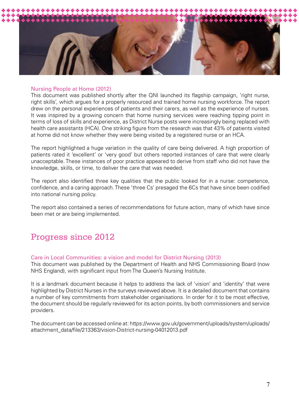

#### Nursing People at Home (2012)

This document was published shortly after the QNI launched its flagship campaign, 'right nurse, right skills', which argues for a properly resourced and trained home nursing workforce. The report drew on the personal experiences of patients and their carers, as well as the experience of nurses. It was inspired by a growing concern that home nursing services were reaching tipping point in terms of loss of skills and experience, as District Nurse posts were increasingly being replaced with health care assistants (HCA). One striking figure from the research was that 43% of patients visited at home did not know whether they were being visited by a registered nurse or an HCA.

The report highlighted a huge variation in the quality of care being delivered. A high proportion of patients rated it 'excellent' or 'very good' but others reported instances of care that were clearly unacceptable. These instances of poor practice appeared to derive from staff who did not have the knowledge, skills, or time, to deliver the care that was needed.

The report also identified three key qualities that the public looked for in a nurse: competence, confidence, and a caring approach. These 'three Cs' presaged the 6Cs that have since been codified into national nursing policy.

The report also contained a series of recommendations for future action, many of which have since been met or are being implemented.

# Progress since 2012

#### Care in Local Communities: a vision and model for District Nursing (2013)

This document was published by the Department of Health and NHS Commissioning Board (now NHS England), with significant input from The Queen's Nursing Institute.

It is a landmark document because it helps to address the lack of 'vision' and 'identity' that were highlighted by District Nurses in the surveys reviewed above. It is a detailed document that contains a number of key commitments from stakeholder organisations. In order for it to be most effective, the document should be regularly reviewed for its action points, by both commissioners and service providers.

The document can be accessed online at: https://www.gov.uk/government/uploads/system/uploads/ attachment\_data/file/213363/vision-District-nursing-04012013.pdf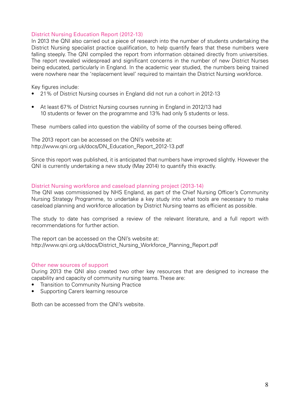# District Nursing Education Report (2012-13)

In 2013 the QNI also carried out a piece of research into the number of students undertaking the District Nursing specialist practice qualification, to help quantify fears that these numbers were falling steeply. The QNI compiled the report from information obtained directly from universities. The report revealed widespread and significant concerns in the number of new District Nurses being educated, particularly in England. In the academic year studied, the numbers being trained were nowhere near the 'replacement level' required to maintain the District Nursing workforce.

Key figures include:

- 21% of District Nursing courses in England did not run a cohort in 2012-13
- At least 67% of District Nursing courses running in England in 2012/13 had 10 students or fewer on the programme and 13% had only 5 students or less.

These numbers called into question the viability of some of the courses being offered.

The 2013 report can be accessed on the QNI's website at: http://www.qni.org.uk/docs/DN\_Education\_Report\_2012-13.pdf

Since this report was published, it is anticipated that numbers have improved slightly. However the QNI is currently undertaking a new study (May 2014) to quantify this exactly.

## District Nursing workforce and caseload planning project (2013-14)

The QNI was commissioned by NHS England, as part of the Chief Nursing Officer's Community Nursing Strategy Programme, to undertake a key study into what tools are necessary to make caseload planning and workforce allocation by District Nursing teams as efficient as possible.

The study to date has comprised a review of the relevant literature, and a full report with recommendations for further action.

The report can be accessed on the QNI's website at: http://www.qni.org.uk/docs/District\_Nursing\_Workforce\_Planning\_Report.pdf

#### Other new sources of support

During 2013 the QNI also created two other key resources that are designed to increase the capability and capacity of community nursing teams. These are:

- Transition to Community Nursing Practice
- Supporting Carers learning resource

Both can be accessed from the QNI's website.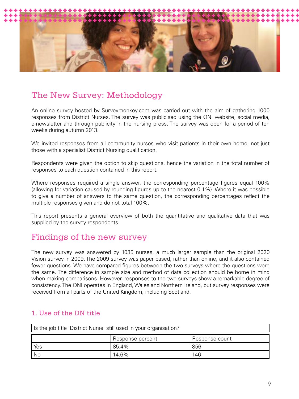

# The New Survey: Methodology

An online survey hosted by Surveymonkey.com was carried out with the aim of gathering 1000 responses from District Nurses. The survey was publicised using the QNI website, social media, e-newsletter and through publicity in the nursing press. The survey was open for a period of ten weeks during autumn 2013.

We invited responses from all community nurses who visit patients in their own home, not just those with a specialist District Nursing qualification.

Respondents were given the option to skip questions, hence the variation in the total number of responses to each question contained in this report.

Where responses required a single answer, the corresponding percentage figures equal 100% (allowing for variation caused by rounding figures up to the nearest 0.1%). Where it was possible to give a number of answers to the same question, the corresponding percentages reflect the multiple responses given and do not total 100%.

This report presents a general overview of both the quantitative and qualitative data that was supplied by the survey respondents.

# Findings of the new survey

The new survey was answered by 1035 nurses, a much larger sample than the original 2020 Vision survey in 2009. The 2009 survey was paper based, rather than online, and it also contained fewer questions. We have compared figures between the two surveys where the questions were the same. The difference in sample size and method of data collection should be borne in mind when making comparisons. However, responses to the two surveys show a remarkable degree of consistency. The QNI operates in England, Wales and Northern Ireland, but survey responses were received from all parts of the United Kingdom, including Scotland.

| Is the job title 'District Nurse' still used in your organisation? |  |  |  |
|--------------------------------------------------------------------|--|--|--|
| Response percent<br>Response count                                 |  |  |  |
| Yes<br>856<br>85.4%                                                |  |  |  |
| No<br>146<br>14.6%                                                 |  |  |  |

# 1. Use of the DN title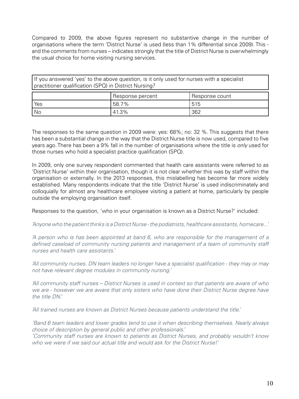Compared to 2009, the above figures represent no substantive change in the number of organisations where the term 'District Nurse' is used (less than 1% differential since 2009). This and the comments from nurses – indicates strongly that the title of District Nurse is overwhelmingly the usual choice for home visiting nursing services.

If you answered 'yes' to the above question, is it only used for nurses with a specialist practitioner qualification (SPQ) in District Nursing?

|      | Besponse percent | Response count |
|------|------------------|----------------|
| Yes  | 58.7%            | 515            |
| ' No | 41.3%            | 362            |

The responses to the same question in 2009 were: yes: 68%; no: 32 %. This suggests that there has been a substantial change in the way that the District Nurse title is now used, compared to five years ago. There has been a 9% fall in the number of organisations where the title is *only* used for those nurses who hold a specialist practice qualification (SPQ).

In 2009, only one survey respondent commented that health care assistants were referred to as 'District Nurse' within their organisation, though it is not clear whether this was by staff within the organisation or externally. In the 2013 responses, this mislabelling has become far more widely established. Many respondents indicate that the title 'District Nurse' is used indiscriminately and colloquially for almost any healthcare employee visiting a patient at home, particularly by people outside the employing organisation itself.

Responses to the question, 'who in your organisation is known as a District Nurse?' included:

*'Anyone who the patient thinks is a District Nurse - the podiatrists, healthcare assistants, homecare...'*

*'A person who is has been appointed at band 6, who are responsible for the management of a defined caseload of community nursing patients and management of a team of community staff nurses and health care assistants.'*

*'All community nurses. DN team leaders no longer have a specialist qualification - they may or may not have relevant degree modules in community nursing.'*

*'All community staff nurses – District Nurses is used in context so that patients are aware of who we are - however we are aware that only sisters who have done their District Nurse degree have the title DN.'*

*'All trained nurses are known as District Nurses because patients understand the title.'*

*'Band 6 team leaders and lower grades tend to use it when describing themselves. Nearly always choice of description by general public and other professionals.'*

*'Community staff nurses are known to patients as District Nurses, and probably wouldn't know who we were if we said our actual title and would ask for the District Nurse!'*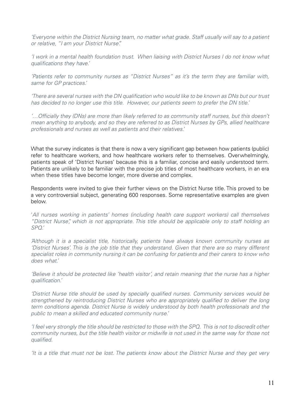*'Everyone within the District Nursing team, no matter what grade. Staff usually will say to a patient or relative, "I am your District Nurse".'*

*'I work in a mental health foundation trust. When liaising with District Nurses I do not know what qualifications they have.'*

*'Patients refer to community nurses as "District Nurses" as it's the term they are familiar with, same for GP practices.'*

*'There are several nurses with the DN qualification who would like to be known as DNs but our trust has decided to no longer use this title. However, our patients seem to prefer the DN title.'*

*'…Officially they (DNs) are more than likely referred to as community staff nurses, but this doesn't mean anything to anybody, and so they are referred to as District Nurses by GPs, allied healthcare professionals and nurses as well as patients and their relatives.'*

What the survey indicates is that there is now a very significant gap between how patients (public) refer to healthcare workers, and how healthcare workers refer to themselves. Overwhelmingly, patients speak of 'District Nurses' because this is a familiar, concise and easily understood term. Patients are unlikely to be familiar with the precise job titles of most healthcare workers, in an era when these titles have become longer, more diverse and complex.

Respondents were invited to give their further views on the District Nurse title. This proved to be a very controversial subject, generating 600 responses. Some representative examples are given below.

'*All nurses working in patients' homes (including health care support workers) call themselves "District Nurse", which is not appropriate. This title should be applicable only to staff holding an SPQ.'*

*'Although it is a specialist title, historically, patients have always known community nurses as 'District Nurses'. This is the job title that they understand. Given that there are so many different specialist roles in community nursing it can be confusing for patients and their carers to know who does what.'*

*'Believe it should be protected like 'health visitor', and retain meaning that the nurse has a higher qualification.'*

*'District Nurse title should be used by specially qualified nurses. Community services would be strengthened by reintroducing District Nurses who are appropriately qualified to deliver the long term conditions agenda. District Nurse is widely understood by both health professionals and the public to mean a skilled and educated community nurse.'*

*'I feel very strongly the title should be restricted to those with the SPQ. This is not to discredit other community nurses, but the title health visitor or midwife is not used in the same way for those not qualified.*

*'It is a title that must not be lost. The patients know about the District Nurse and they get very*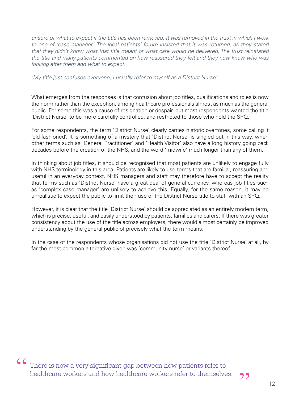*unsure of what to expect if the title has been removed. It was removed in the trust in which I work*  to one of 'case manager'. The local patients' forum insisted that it was returned, as they stated *that they didn't know what that title meant or what care would be delivered. The trust reinstated the title and many patients commented on how reassured they felt and they now knew who was looking after them and what to expect.'*

*'My title just confuses everyone; I usually refer to myself as a District Nurse.'*

What emerges from the responses is that confusion about job titles, qualifications and roles is now the norm rather than the exception, among healthcare professionals almost as much as the general public. For some this was a cause of resignation or despair, but most respondents wanted the title 'District Nurse' to be more carefully controlled, and restricted to those who hold the SPQ.

For some respondents, the term 'District Nurse' clearly carries historic overtones, some calling it 'old-fashioned'. It is something of a mystery that 'District Nurse' is singled out in this way, when other terms such as 'General Practitioner' and 'Health Visitor' also have a long history going back decades before the creation of the NHS, and the word 'midwife' much longer than any of them.

In thinking about job titles, it should be recognised that most patients are unlikely to engage fully with NHS terminology in this area. Patients are likely to use terms that are familiar, reassuring and useful in an everyday context. NHS managers and staff may therefore have to accept the reality that terms such as 'District Nurse' have a great deal of general currency, whereas job titles such as 'complex case manager' are unlikely to achieve this. Equally, for the same reason, it may be unrealistic to expect the public to limit their use of the District Nurse title to staff with an SPQ.

However, it is clear that the title 'District Nurse' should be appreciated as an entirely modern term, which is precise, useful, and easily understood by patients, families and carers. If there was greater consistency about the use of the title across employers, there would almost certainly be improved understanding by the general public of precisely what the term means.

In the case of the respondents whose organisations did not use the title 'District Nurse' at all, by far the most common alternative given was 'community nurse' or variants thereof.

CO There is now a very significant gap between how patients refer to healthcare workers and how healthcare workers refer to themselves.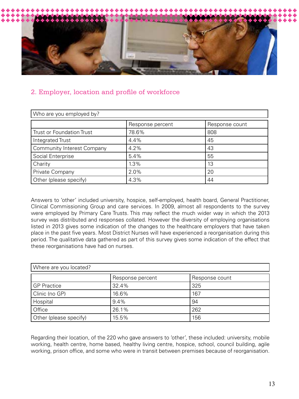

# 2. Employer, location and profile of workforce

| Who are you employed by?          |                  |                |  |
|-----------------------------------|------------------|----------------|--|
|                                   | Response percent | Response count |  |
| <b>Trust or Foundation Trust</b>  | 78.6%            | 808            |  |
| Integrated Trust                  | 4.4%             | 45             |  |
| <b>Community Interest Company</b> | 4.2%             | 43             |  |
| Social Enterprise                 | 5.4%             | 55             |  |
| Charity                           | 1.3%             | 13             |  |
| Private Company                   | 2.0%             | 20             |  |
| Other (please specify)            | 4.3%             | 44             |  |

Answers to 'other' included university, hospice, self-employed, health board, General Practitioner, Clinical Commissioning Group and care services. In 2009, almost all respondents to the survey were employed by Primary Care Trusts. This may reflect the much wider way in which the 2013 survey was distributed and responses collated. However the diversity of employing organisations listed in 2013 gives some indication of the changes to the healthcare employers that have taken place in the past five years. Most District Nurses will have experienced a reorganisation during this period. The qualitative data gathered as part of this survey gives some indication of the effect that these reorganisations have had on nurses.

| Where are you located? |                  |                |  |
|------------------------|------------------|----------------|--|
|                        | Response percent | Response count |  |
| <b>GP</b> Practice     | 32.4%            | 325            |  |
| Clinic (no GP)         | 16.6%            | 167            |  |
| Hospital               | 9.4%             | 94             |  |
| Office                 | 26.1%            | 262            |  |
| Other (please specify) | 15.5%            | 156            |  |

Regarding their location, of the 220 who gave answers to 'other', these included: university, mobile working, health centre, home based, healthy living centre, hospice, school, council building, agile working, prison office, and some who were in transit between premises because of reorganisation.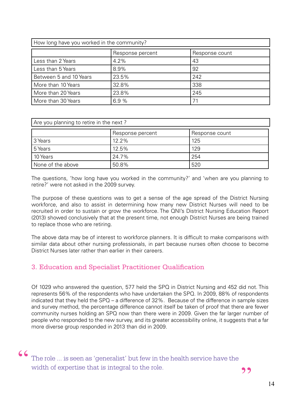| How long have you worked in the community? |                  |                |
|--------------------------------------------|------------------|----------------|
|                                            | Response percent | Response count |
| Less than 2 Years                          | 4.2%             | 43             |
| Less than 5 Years                          | 8.9%             | 92             |
| Between 5 and 10 Years                     | 23.5%            | 242            |
| More than 10 Years                         | 32.8%            | 338            |
| More than 20 Years                         | 23.8%            | 245            |
| More than 30 Years                         | 6.9%             | 71             |

| Are you planning to retire in the next? |          |     |  |
|-----------------------------------------|----------|-----|--|
| Response percent<br>Response count      |          |     |  |
| 3 Years                                 | $12.2\%$ | 125 |  |
| 5 Years                                 | 12.5%    | 129 |  |
| 10 Years                                | 24.7%    | 254 |  |
| None of the above                       | 50.8%    | 520 |  |

The questions, 'how long have you worked in the community?' and 'when are you planning to retire?' were not asked in the 2009 survey.

The purpose of these questions was to get a sense of the age spread of the District Nursing workforce, and also to assist in determining how many new District Nurses will need to be recruited in order to sustain or grow the workforce. The QNI's District Nursing Education Report (2013) showed conclusively that at the present time, not enough District Nurses are being trained to replace those who are retiring.

The above data may be of interest to workforce planners. It is difficult to make comparisons with similar data about other nursing professionals, in part because nurses often choose to become District Nurses later rather than earlier in their careers.

# 3. Education and Specialist Practitioner Qualification

Of 1029 who answered the question, 577 held the SPQ in District Nursing and 452 did not. This represents 56% of the respondents who have undertaken the SPQ. In 2009, 88% of respondents indicated that they held the SPQ – a difference of 32%. Because of the difference in sample sizes and survey method, the percentage difference cannot itself be taken of proof that there are fewer community nurses holding an SPQ now than there were in 2009. Given the far larger number of people who responded to the new survey, and its greater accessibility online, it suggests that a far more diverse group responded in 2013 than did in 2009.

C The role ... is seen as 'generalist' but few in the health service have the width of expertise that is integral to the role.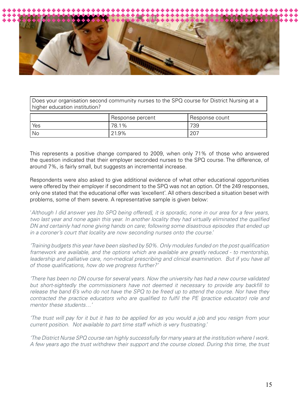

Does your organisation second community nurses to the SPQ course for District Nursing at a higher education institution?

|      | Response percent | Response count |
|------|------------------|----------------|
| Yes  | 78.1%            | 739            |
| ' No | 21.9%            | ZU7            |

This represents a positive change compared to 2009, when only 71% of those who answered the question indicated that their employer seconded nurses to the SPQ course. The difference, of around 7%, is fairly small, but suggests an incremental increase.

Respondents were also asked to give additional evidence of what other educational opportunities were offered by their employer if secondment to the SPQ was not an option. Of the 249 responses, only one stated that the educational offer was 'excellent'. All others described a situation beset with problems, some of them severe. A representative sample is given below:

'*Although I did answer yes [to SPQ being offered], it is sporadic, none in our area for a few years, two last year and none again this year. In another locality they had virtually eliminated the qualified DN and certainly had none giving hands on care; following some disastrous episodes that ended up in a coroner's court that locality are now seconding nurses onto the course.'*

*'Training budgets this year have been slashed by 50%. Only modules funded on the post qualification framework are available, and the options which are available are greatly reduced - to mentorship,*  leadership and palliative care, non-medical prescribing and clinical examination. But if you have all *of those qualifications, how do we progress further?'*

*'There has been no DN course for several years. Now the university has had a new course validated but short-sightedly the commissioners have not deemed it necessary to provide any backfill to release the band 6's who do not have the SPQ to be freed up to attend the course. Nor have they contracted the practice educators who are qualified to fulfil the PE (practice educator) role and mentor these students…'*

*'The trust will pay for it but it has to be applied for as you would a job and you resign from your current position. Not available to part time staff which is very frustrating.'* 

*'The District Nurse SPQ course ran highly successfully for many years at the institution where I work. A few years ago the trust withdrew their support and the course closed. During this time, the trust*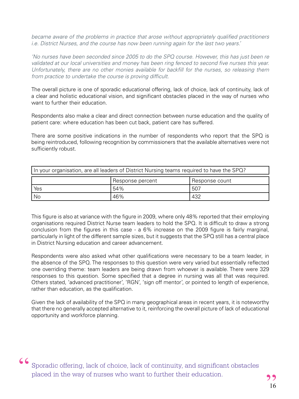*became aware of the problems in practice that arose without appropriately qualified practitioners i.e. District Nurses, and the course has now been running again for the last two years.'*

*'No nurses have been seconded since 2005 to do the SPQ course. However, this has just been re*  validated at our local universities and money has been ring fenced to second five nurses this year. *Unfortunately, there are no other monies available for backfill for the nurses, so releasing them from practice to undertake the course is proving difficult.*

The overall picture is one of sporadic educational offering, lack of choice, lack of continuity, lack of a clear and holistic educational vision, and significant obstacles placed in the way of nurses who want to further their education.

Respondents also make a clear and direct connection between nurse education and the quality of patient care: where education has been cut back, patient care has suffered.

There are some positive indications in the number of respondents who report that the SPQ is being reintroduced, following recognition by commissioners that the available alternatives were not sufficiently robust.

| In your organisation, are all leaders of District Nursing teams required to have the SPQ? |  |  |  |
|-------------------------------------------------------------------------------------------|--|--|--|
| Response percent<br>Response count                                                        |  |  |  |
| 54%<br>Yes<br>507                                                                         |  |  |  |
| 46%<br>No<br>432                                                                          |  |  |  |

This figure is also at variance with the figure in 2009, where only 48% reported that their employing organisations required District Nurse team leaders to hold the SPQ. It is difficult to draw a strong conclusion from the figures in this case - a 6% increase on the 2009 figure is fairly marginal, particularly in light of the different sample sizes, but it suggests that the SPQ still has a central place in District Nursing education and career advancement.

Respondents were also asked what other qualifications were necessary to be a team leader, in the absence of the SPQ. The responses to this question were very varied but essentially reflected one overriding theme: team leaders are being drawn from whoever is available. There were 329 responses to this question. Some specified that a degree in nursing was all that was required. Others stated, 'advanced practitioner', 'RGN', 'sign off mentor', or pointed to length of experience, rather than education, as the qualification.

Given the lack of availability of the SPQ in many geographical areas in recent years, it is noteworthy that there no generally accepted alternative to it, reinforcing the overall picture of lack of educational opportunity and workforce planning.

GC Sporadic offering, lack of choice, lack of continuity, and significant obstacles placed in the way of nurses who want to further their education.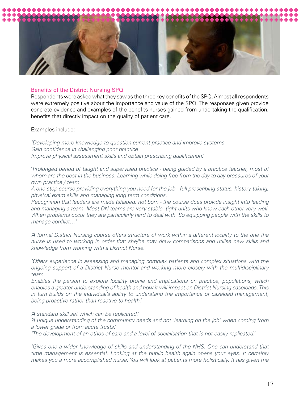

#### Benefits of the District Nursing SPQ

Respondents were asked what they saw as the three key benefits of the SPQ. Almost all respondents were extremely positive about the importance and value of the SPQ. The responses given provide concrete evidence and examples of the benefits nurses gained from undertaking the qualification; benefits that directly impact on the quality of patient care.

Examples include:

*'Developing more knowledge to question current practice and improve systems Gain confidence in challenging poor practice Improve physical assessment skills and obtain prescribing qualification.'*

'*Prolonged period of taught and supervised practice - being guided by a practice teacher, most of whom are the best in the business. Learning while doing free from the day to day pressures of your own practice / team.*

*A one stop course providing everything you need for the job - full prescribing status, history taking, physical exam skills and managing long term conditions.*

*Recognition that leaders are made (shaped) not born - the course does provide insight into leading and managing a team. Most DN teams are very stable, tight units who know each other very well. When problems occur they are particularly hard to deal with. So equipping people with the skills to manage conflict…'*

*'A formal District Nursing course offers structure of work within a different locality to the one the nurse is used to working in order that she/he may draw comparisons and utilise new skills and knowledge from working with a District Nurse.'*

*'Offers experience in assessing and managing complex patients and complex situations with the ongoing support of a District Nurse mentor and working more closely with the multidisciplinary team.*

*Enables the person to explore locality profile and implications on practice, populations, which enables a greater understanding of health and how it will impact on District Nursing caseloads. This in turn builds on the individual's ability to understand the importance of caseload management, being proactive rather than reactive to health.'*

*'A standard skill set which can be replicated.'*

*'A unique understanding of the community needs and not 'learning on the job' when coming from a lower grade or from acute trusts.'*

*'The development of an ethos of care and a level of socialisation that is not easily replicated.'*

*'Gives one a wider knowledge of skills and understanding of the NHS. One can understand that time management is essential. Looking at the public health again opens your eyes. It certainly makes you a more accomplished nurse. You will look at patients more holistically. It has given me*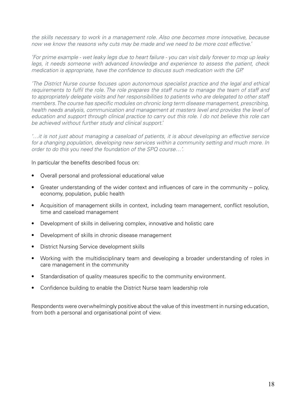*the skills necessary to work in a management role. Also one becomes more innovative, because now we know the reasons why cuts may be made and we need to be more cost effective.'*

*'For prime example - wet leaky legs due to heart failure - you can visit daily forever to mop up leaky legs, it needs someone with advanced knowledge and experience to assess the patient, check medication is appropriate, have the confidence to discuss such medication with the GP.'*

*'The District Nurse course focuses upon autonomous specialist practice and the legal and ethical requirements to fulfil the role. The role prepares the staff nurse to manage the team of staff and to appropriately delegate visits and her responsibilities to patients who are delegated to other staff members. The course has specific modules on chronic long term disease management, prescribing, health needs analysis, communication and management at masters level and provides the level of education and support through clinical practice to carry out this role. I do not believe this role can be achieved without further study and clinical support.'*

*'…it is not just about managing a caseload of patients, it is about developing an effective service for a changing population, developing new services within a community setting and much more. In order to do this you need the foundation of the SPQ course…'.*

In particular the benefits described focus on:

- Overall personal and professional educational value
- Greater understanding of the wider context and influences of care in the community policy, economy, population, public health
- Acquisition of management skills in context, including team management, conflict resolution, time and caseload management
- Development of skills in delivering complex, innovative and holistic care
- Development of skills in chronic disease management
- District Nursing Service development skills
- Working with the multidisciplinary team and developing a broader understanding of roles in care management in the community
- Standardisation of quality measures specific to the community environment.
- Confidence building to enable the District Nurse team leadership role

Respondents were overwhelmingly positive about the value of this investment in nursing education, from both a personal and organisational point of view.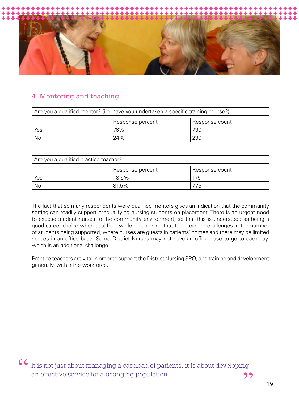

# 4. Mentoring and teaching

| Are you a qualified mentor? (i.e. have you undertaken a specific training course?) |            |  |
|------------------------------------------------------------------------------------|------------|--|
| Response percent<br>  Response count                                               |            |  |
| Yes                                                                                | 76%<br>730 |  |
| 24%<br>  No<br>230                                                                 |            |  |

| Are you a qualified practice teacher? |          |     |  |
|---------------------------------------|----------|-----|--|
| Response percent<br>Response count    |          |     |  |
| Yes                                   | $18.5\%$ | 176 |  |
| No<br>81.5%<br>75                     |          |     |  |

The fact that so many respondents were qualified mentors gives an indication that the community setting can readily support prequalifying nursing students on placement. There is an urgent need to expose student nurses to the community environment, so that this is understood as being a good career choice when qualified, while recognising that there can be challenges in the number of students being supported, where nurses are guests in patients' homes and there may be limited spaces in an office base. Some District Nurses may not have an office base to go to each day, which is an additional challenge.

Practice teachers are vital in order to support the District Nursing SPQ, and training and development generally, within the workforce.

 $\begin{array}{c} \textsf{6} \textsf{I} \textsf{t} \textup{ is not just about managing a caseload of patients, it is about developing an effective service for a changing population... \end{array}$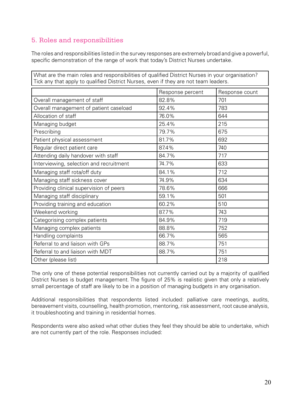# 5. Roles and responsibilities

The roles and responsibilities listed in the survey responses are extremely broad and give a powerful, specific demonstration of the range of work that today's District Nurses undertake.

| What are the main roles and responsibilities of qualified District Nurses in your organisation?<br>Tick any that apply to qualified District Nurses, even if they are not team leaders. |                  |                |
|-----------------------------------------------------------------------------------------------------------------------------------------------------------------------------------------|------------------|----------------|
|                                                                                                                                                                                         |                  |                |
|                                                                                                                                                                                         | Response percent | Response count |
| Overall management of staff                                                                                                                                                             | 82.8%            | 701            |
| Overall management of patient caseload                                                                                                                                                  | 92.4%            | 783            |
| Allocation of staff                                                                                                                                                                     | 76.0%            | 644            |
| Managing budget                                                                                                                                                                         | 25.4%            | 215            |
| Prescribing                                                                                                                                                                             | 79.7%            | 675            |
| Patient physical assessment                                                                                                                                                             | 81.7%            | 692            |
| Regular direct patient care                                                                                                                                                             | 87.4%            | 740            |
| Attending daily handover with staff                                                                                                                                                     | 84.7%            | 717            |
| Interviewing, selection and recruitment                                                                                                                                                 | 74.7%            | 633            |
| Managing staff rota/off duty                                                                                                                                                            | 84.1%            | 712            |
| Managing staff sickness cover                                                                                                                                                           | 74.9%            | 634            |
| Providing clinical supervision of peers                                                                                                                                                 | 78.6%            | 666            |
| Managing staff disciplinary                                                                                                                                                             | 59.1%            | 501            |
| Providing training and education                                                                                                                                                        | 60.2%            | 510            |
| Weekend working                                                                                                                                                                         | 87.7%            | 743            |
| Categorising complex patients                                                                                                                                                           | 84.9%            | 719            |
| Managing complex patients                                                                                                                                                               | 88.8%            | 752            |
| Handling complaints                                                                                                                                                                     | 66.7%            | 565            |
| Referral to and liaison with GPs                                                                                                                                                        | 88.7%            | 751            |
| Referral to and liaison with MDT                                                                                                                                                        | 88.7%            | 751            |
| Other (please list)                                                                                                                                                                     |                  | 218            |

The only one of these potential responsibilities not currently carried out by a majority of qualified District Nurses is budget management. The figure of 25% is realistic given that only a relatively small percentage of staff are likely to be in a position of managing budgets in any organisation.

Additional responsibilities that respondents listed included: palliative care meetings, audits, bereavement visits, counselling, health promotion, mentoring, risk assessment, root cause analysis, it troubleshooting and training in residential homes.

Respondents were also asked what other duties they feel they should be able to undertake, which are not currently part of the role. Responses included: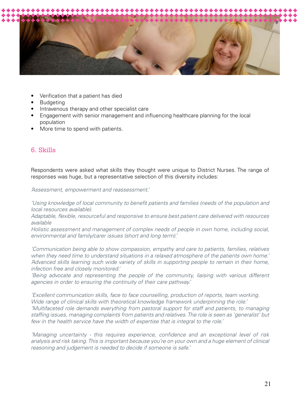

- Verification that a patient has died
- **Budgeting**
- Intravenous therapy and other specialist care
- Engagement with senior management and influencing healthcare planning for the local population
- More time to spend with patients.

# 6. Skills

Respondents were asked what skills they thought were unique to District Nurses. The range of responses was huge, but a representative selection of this diversity includes:

*'Assessment, empowerment and reassessment.'*

*'Using knowledge of local community to benefit patients and families (needs of the population and local resources available).*

*Adaptable, flexible, resourceful and responsive to ensure best patient care delivered with resources available* 

*Holistic assessment and management of complex needs of people in own home, including social, environmental and family/carer issues (short and long term).'*

*'Communication being able to show compassion, empathy and care to patients, families, relatives when they need time to understand situations in a relaxed atmosphere of the patients own home.' 'Advanced skills learning such wide variety of skills in supporting people to remain in their home, infection free and closely monitored.'*

*'Being advocate and representing the people of the community, liaising with various different agencies in order to ensuring the continuity of their care pathway.'*

*'Excellent communication skills, face to face counselling, production of reports, team working. Wide range of clinical skills with theoretical knowledge framework underpinning the role.' 'Multifaceted role demands everything from pastoral support for staff and patients, to managing staffing issues, managing complaints from patients and relatives. The role is seen as 'generalist' but few in the health service have the width of expertise that is integral to the role.'*

*'Managing uncertainty - this requires experience, confidence and an exceptional level of risk analysis and risk taking. This is important because you're on your own and a huge element of clinical reasoning and judgement is needed to decide if someone is safe.'*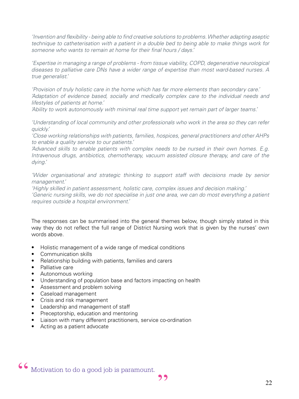*'Invention and flexibility - being able to find creative solutions to problems. Whether adapting aseptic technique to catheterisation with a patient in a double bed to being able to make things work for someone who wants to remain at home for their final hours / days.'*

*'Expertise in managing a range of problems - from tissue viability, COPD, degenerative neurological diseases to palliative care DNs have a wider range of expertise than most ward-based nurses. A true generalist.'*

*'Provision of truly holistic care in the home which has far more elements than secondary care.' 'Adaptation of evidence based, socially and medically complex care to the individual needs and lifestyles of patients at home.'*

*'Ability to work autonomously with minimal real time support yet remain part of larger teams.'*

*'Understanding of local community and other professionals who work in the area so they can refer quickly.'*

*'Close working relationships with patients, families, hospices, general practitioners and other AHPs to enable a quality service to our patients.'*

*'Advanced skills to enable patients with complex needs to be nursed in their own homes. E.g. Intravenous drugs, antibiotics, chemotherapy, vacuum assisted closure therapy, and care of the dying.'*

*'Wider organisational and strategic thinking to support staff with decisions made by senior management.'*

*'Highly skilled in patient assessment, holistic care, complex issues and decision making.'*

*'Generic nursing skills, we do not specialise in just one area, we can do most everything a patient requires outside a hospital environment.'*

The responses can be summarised into the general themes below, though simply stated in this way they do not reflect the full range of District Nursing work that is given by the nurses' own words above.

- Holistic management of a wide range of medical conditions
- Communication skills
- Relationship building with patients, families and carers
- Palliative care
- Autonomous working
- Understanding of population base and factors impacting on health
- Assessment and problem solving
- Caseload management
- Crisis and risk management
- Leadership and management of staff
- Preceptorship, education and mentoring
- Liaison with many different practitioners, service co-ordination
- Acting as a patient advocate

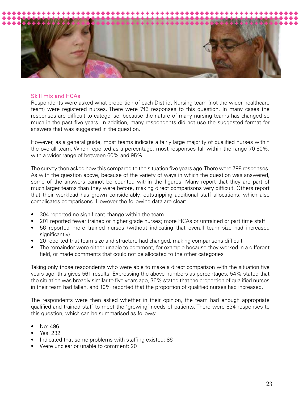

#### Skill mix and HCAs

Respondents were asked what proportion of each District Nursing team (not the wider healthcare team) were registered nurses. There were 743 responses to this question. In many cases the responses are difficult to categorise, because the nature of many nursing teams has changed so much in the past five years. In addition, many respondents did not use the suggested format for answers that was suggested in the question.

However, as a general guide, most teams indicate a fairly large majority of qualified nurses within the overall team. When reported as a percentage, most responses fall within the range 70-80%, with a wider range of between 60% and 95%.

The survey then asked how this compared to the situation five years ago. There were 798 responses. As with the question above, because of the variety of ways in which the question was answered, some of the answers cannot be counted within the figures. Many report that they are part of much larger teams than they were before, making direct comparisons very difficult. Others report that their workload has grown considerably, outstripping additional staff allocations, which also complicates comparisons. However the following data are clear:

- 304 reported no significant change within the team
- 201 reported fewer trained or higher grade nurses; more HCAs or untrained or part time staff
- 56 reported more trained nurses (without indicating that overall team size had increased significantly)
- 20 reported that team size and structure had changed, making comparisons difficult
- The remainder were either unable to comment, for example because they worked in a different field, or made comments that could not be allocated to the other categories

Taking only those respondents who were able to make a direct comparison with the situation five years ago, this gives 561 results. Expressing the above numbers as percentages, 54% stated that the situation was broadly similar to five years ago, 36% stated that the proportion of qualified nurses in their team had fallen, and 10% reported that the proportion of qualified nurses had increased.

The respondents were then asked whether in their opinion, the team had enough appropriate qualified and trained staff to meet the 'growing' needs of patients. There were 834 responses to this question, which can be summarised as follows:

- No: 496
- Yes: 232
- Indicated that some problems with staffing existed: 86
- Were unclear or unable to comment: 20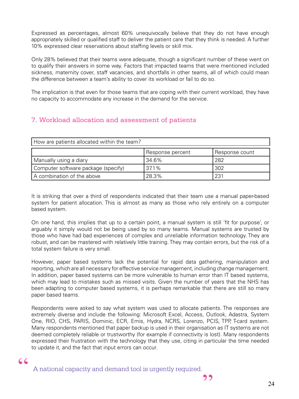Expressed as percentages, almost 60% unequivocally believe that they do not have enough appropriately skilled or qualified staff to deliver the patient care that they think is needed. A further 10% expressed clear reservations about staffing levels or skill mix.

Only 28% believed that their teams were adequate, though a significant number of these went on to qualify their answers in some way. Factors that impacted teams that were mentioned included sickness, maternity cover, staff vacancies, and shortfalls in other teams, all of which could mean the difference between a team's ability to cover its workload or fail to do so.

The implication is that even for those teams that are coping with their current workload, they have no capacity to accommodate any increase in the demand for the service.

# 7. Workload allocation and assessment of patients

| How are patients allocated within the team? |                  |                |
|---------------------------------------------|------------------|----------------|
|                                             | Response percent | Response count |
| Manually using a diary                      | 34.6%            | 282            |
| Computer software package (specify)         | 37.1%            | 302            |
| A combination of the above                  | 28.3%            | 231            |

It is striking that over a third of respondents indicated that their team use a manual paper-based system for patient allocation. This is almost as many as those who rely entirely on a computer based system.

On one hand, this implies that up to a certain point, a manual system is still 'fit for purpose', or arguably it simply would not be being used by so many teams. Manual systems are trusted by those who have had bad experiences of complex and unreliable information technology. They are robust, and can be mastered with relatively little training. They may contain errors, but the risk of a total system failure is very small.

However, paper based systems lack the potential for rapid data gathering, manipulation and reporting, which are all necessary for effective service management, including change management. In addition, paper based systems can be more vulnerable to human error than IT based systems, which may lead to mistakes such as missed visits. Given the number of years that the NHS has been adapting to computer based systems, it is perhaps remarkable that there are still so many paper based teams.

Respondents were asked to say what system was used to allocate patients. The responses are extremely diverse and include the following: Microsoft Excel, Access, Outlook, Adastra, System One, RIO, CHS, PARIS, Dominic, ECR, Emis, Hydra, NCRS, Lorenzo, PCIS, TPP, T-card system. Many respondents mentioned that paper backup is used in their organisation as IT systems are not deemed completely reliable or trustworthy (for example if connectivity is lost). Many respondents expressed their frustration with the technology that they use, citing in particular the time needed to update it, and the fact that input errors can occur.

A national capacity and demand tool is urgently required.

 $66$ 

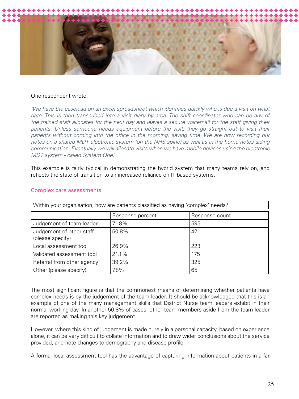

#### One respondent wrote:

'We have the caseload on an excel spreadsheet which identifies quickly who is due a visit on what date. This is then transcribed into a visit diary by area. The shift coordinator who can be any of *the trained staff allocates for the next day and leaves a secure voicemail for the staff giving their*  patients. Unless someone needs equipment before the visit, they go straight out to visit their patients without coming into the office in the morning, saving time. We are now recording our *notes on a shared MDT electronic system (on the NHS spine) as well as in the home notes aiding communication. Eventually we will allocate visits when we have mobile devices using the electronic MDT system - called System One.'*

This example is fairly typical in demonstrating the hybrid system that many teams rely on, and reflects the state of transition to an increased reliance on IT based systems.

| Within your organisation, how are patients classified as having 'complex' needs? |                  |                |  |
|----------------------------------------------------------------------------------|------------------|----------------|--|
|                                                                                  | Response percent | Response count |  |
| Judgement of team leader                                                         | 71.8%            | 595            |  |
| Judgement of other staff<br>(please specify)                                     | 50.8%            | 421            |  |
| Local assessment tool                                                            | 26.9%            | 223            |  |
| Validated assessment tool                                                        | 21.1%            | 175            |  |
| Referral from other agency                                                       | 39.2%            | 325            |  |
| Other (please specify)                                                           | 7.8%             | 65             |  |

#### Complex care assessments

The most significant figure is that the commonest means of determining whether patients have complex needs is by the judgement of the team leader. It should be acknowledged that this is an example of one of the many management skills that District Nurse team leaders exhibit in their normal working day. In another 50.8% of cases, other team members aside from the team leader are reported as making this key judgement.

However, where this kind of judgement is made purely in a personal capacity, based on experience alone, it can be very difficult to collate information and to draw wider conclusions about the service provided, and note changes to demography and disease profile.

A formal local assessment tool has the advantage of capturing information about patients in a far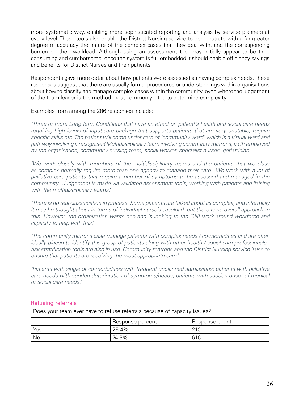more systematic way, enabling more sophisticated reporting and analysis by service planners at every level. These tools also enable the District Nursing service to demonstrate with a far greater degree of accuracy the nature of the complex cases that they deal with, and the corresponding burden on their workload. Although using an assessment tool may initially appear to be time consuming and cumbersome, once the system is full embedded it should enable efficiency savings and benefits for District Nurses and their patients.

Respondents gave more detail about how patients were assessed as having complex needs. These responses suggest that there are usually formal procedures or understandings within organisations about how to classify and manage complex cases within the community, even where the judgement of the team leader is the method most commonly cited to determine complexity.

Examples from among the 286 responses include:

*'Three or more Long Term Conditions that have an effect on patient's health and social care needs requiring high levels of input-care package that supports patients that are very unstable, require specific skills etc. The patient will come under care of 'community ward' which is a virtual ward and pathway involving a recognised Multidisciplinary Team involving community matrons, a GP employed by the organisation, community nursing team, social worker, specialist nurses, geriatrician.'*

*'We work closely with members of the multidisciplinary teams and the patients that we class*  as complex normally require more than one agency to manage their care. We work with a lot of palliative care patients that require a number of symptoms to be assessed and managed in the *community. Judgement is made via validated assessment tools, working with patients and liaising with the multidisciplinary teams.'*

*'There is no real classification in process. Some patients are talked about as complex, and informally it may be thought about in terms of individual nurse's caseload, but there is no overall approach to this. However, the organisation wants one and is looking to the QNI work around workforce and capacity to help with this.'*

*'The community matrons case manage patients with complex needs / co-morbidities and are often ideally placed to identify this group of patients along with other health / social care professionals risk stratification tools are also in use. Community matrons and the District Nursing service liaise to ensure that patients are receiving the most appropriate care.'*

*'Patients with single or co-morbidities with frequent unplanned admissions; patients with palliative care needs with sudden deterioration of symptoms/needs; patients with sudden onset of medical or social care needs.'*

# Refusing referrals

| Does your team ever have to refuse referrals because of capacity issues? |                  |                |
|--------------------------------------------------------------------------|------------------|----------------|
|                                                                          | Response percent | Response count |
| Yes                                                                      | 125.4%           | 210            |
| No                                                                       | 74.6%            | 616            |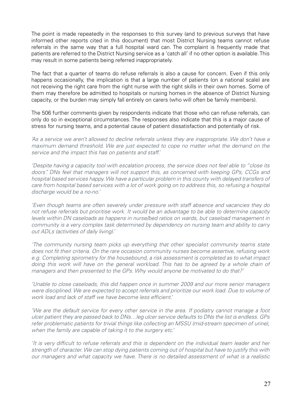The point is made repeatedly in the responses to this survey (and to previous surveys that have informed other reports cited in this document) that most District Nursing teams cannot refuse referrals in the same way that a full hospital ward can. The complaint is frequently made that patients are referred to the District Nursing service as a 'catch all' if no other option is available. This may result in some patients being referred inappropriately.

The fact that a quarter of teams do refuse referrals is also a cause for concern. Even if this only happens occasionally, the implication is that a large number of patients (on a national scale) are not receiving the right care from the right nurse with the right skills in their own homes. Some of them may therefore be admitted to hospitals or nursing homes in the absence of District Nursing capacity, or the burden may simply fall entirely on carers (who will often be family members).

The 506 further comments given by respondents indicate that those who can refuse referrals, can only do so in exceptional circumstances. The responses also indicate that this is a major cause of stress for nursing teams, and a potential cause of patient dissatisfaction and potentially of risk.

*'As a service we aren't allowed to decline referrals unless they are inappropriate. We don't have a maximum demand threshold. We are just expected to cope no matter what the demand on the service and the impact this has on patients and staff.'*

*'Despite having a capacity tool with escalation process, the service does not feel able to "close its doors". DNs feel that managers will not support this, as concerned with keeping GPs, CCGs and hospital based services happy. We have a particular problem in this county with delayed transfers of care from hospital based services with a lot of work going on to address this, so refusing a hospital discharge would be a no-no.'*

*'Even though teams are often severely under pressure with staff absence and vacancies they do not refuse referrals but prioritise work. It would be an advantage to be able to determine capacity levels within DN caseloads as happens in nurse/bed ratios on wards, but caseload management in community is a very complex task determined by dependency on nursing team and ability to carry out ADLs (activities of daily living).'*

*'The community nursing team picks up everything that other specialist community teams state does not fit their criteria. On the rare occasion community nurses become assertive, refusing work e.g. Completing spirometry for the housebound, a risk assessment is completed as to what impact*  doing this work will have on the general workload. This has to be agreed by a whole chain of *managers and then presented to the GPs. Why would anyone be motivated to do that?'*

*'Unable to close caseloads, this did happen once in summer 2009 and our more senior managers were disciplined. We are expected to accept referrals and prioritize our work load. Due to volume of work load and lack of staff we have become less efficient.'*

*'We are the default service for every other service in the area. If podiatry cannot manage a foot ulcer patient they are passed back to DNs…leg ulcer service defaults to DNs the list is endless. GPs refer problematic patients for trivial things like collecting an MSSU (mid-stream specimen of urine), when the family are capable of taking it to the surgery etc.'*

*'It is very difficult to refuse referrals and this is dependent on the individual team leader and her strength of character. We can stop dying patients coming out of hospital but have to justify this with our managers and what capacity we have. There is no detailed assessment of what is a realistic*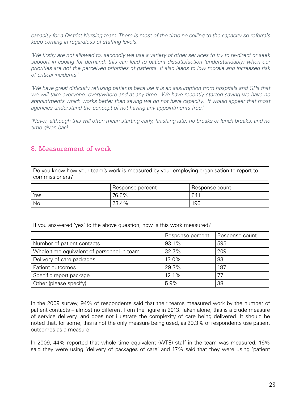*capacity for a District Nursing team. There is most of the time no ceiling to the capacity so referrals keep coming in regardless of staffing levels.'*

*'We firstly are not allowed to, secondly we use a variety of other services to try to re-direct or seek support in coping for demand; this can lead to patient dissatisfaction (understandably) when our priorities are not the perceived priorities of patients. It also leads to low morale and increased risk of critical incidents.'*

*'We have great difficulty refusing patients because it is an assumption from hospitals and GPs that we will take everyone, everywhere and at any time. We have recently started saying we have no appointments which works better than saying we do not have capacity. It would appear that most agencies understand the concept of not having any appointments free.'*

*'Never, although this will often mean starting early, finishing late, no breaks or lunch breaks, and no time given back.*

# 8. Measurement of work

Do you know how your team's work is measured by your employing organisation to report to commissioners?

|      | Response percent | Response count |
|------|------------------|----------------|
| Yes  | 76.6%            | 641            |
| ' No | 23.4%            | 196            |

| If you answered 'yes' to the above question, how is this work measured? |                  |                |  |
|-------------------------------------------------------------------------|------------------|----------------|--|
|                                                                         | Response percent | Response count |  |
| Number of patient contacts                                              | 93.1%            | 595            |  |
| Whole time equivalent of personnel in team                              | 32.7%            | 209            |  |
| Delivery of care packages                                               | 13.0%            | 83             |  |
| Patient outcomes                                                        | 29.3%            | 187            |  |
| Specific report package                                                 | 12.1%            | 77             |  |
| Other (please specify)                                                  | 5.9%             | 38             |  |

In the 2009 survey, 94% of respondents said that their teams measured work by the number of patient contacts – almost no different from the figure in 2013. Taken alone, this is a crude measure of service delivery, and does not illustrate the complexity of care being delivered. It should be noted that, for some, this is not the only measure being used, as 29.3% of respondents use patient outcomes as a measure.

In 2009, 44% reported that whole time equivalent (WTE) staff in the team was measured, 16% said they were using 'delivery of packages of care' and 17% said that they were using 'patient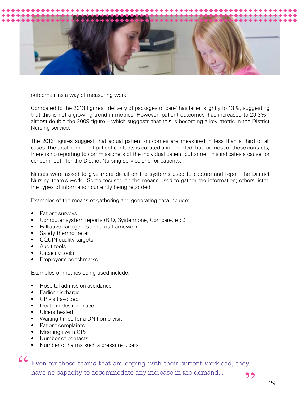

outcomes' as a way of measuring work.

Compared to the 2013 figures, 'delivery of packages of care' has fallen slightly to 13%, suggesting that this is not a growing trend in metrics. However 'patient outcomes' has increased to 29.3% almost double the 2009 figure – which suggests that this is becoming a key metric in the District Nursing service.

The 2013 figures suggest that actual patient outcomes are measured in less than a third of all cases. The total number of patient contacts is collated and reported, but for most of these contacts, there is no reporting to commissioners of the individual patient outcome. This indicates a cause for concern, both for the District Nursing service and for patients.

Nurses were asked to give more detail on the systems used to capture and report the District Nursing team's work. Some focused on the means used to gather the information; others listed the types of information currently being recorded.

Examples of the means of gathering and generating data include:

- Patient surveys
- Computer system reports (RIO, System one, Comcare, etc.)
- Palliative care gold standards framework
- Safety thermometer
- CQUIN quality targets
- Audit tools
- Capacity tools
- Employer's benchmarks

Examples of metrics being used include:

- Hospital admission avoidance
- Earlier discharge
- GP visit avoided
- Death in desired place
- Ulcers healed
- Waiting times for a DN home visit
- Patient complaints
- Meetings with GPs
- Number of contacts
- Number of harms such a pressure ulcers

CC Even for those teams that are coping with their current workload, they have no capacity to accommodate any increase in the demand...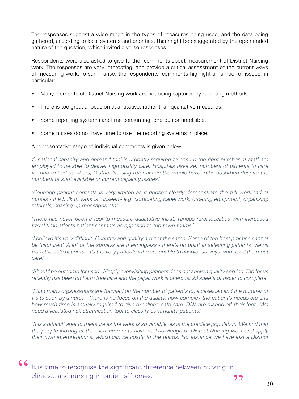The responses suggest a wide range in the types of measures being used, and the data being gathered, according to local systems and priorities. This might be exaggerated by the open ended nature of the question, which invited diverse responses.

Respondents were also asked to give further comments about measurement of District Nursing work. The responses are very interesting, and provide a critical assessment of the current ways of measuring work. To summarise, the respondents' comments highlight a number of issues, in particular:

- Many elements of District Nursing work are not being captured by reporting methods.
- There is too great a focus on quantitative, rather than qualitative measures.
- Some reporting systems are time consuming, onerous or unreliable.
- Some nurses do not have time to use the reporting systems in place.

#### A representative range of individual comments is given below:

*'A national capacity and demand tool is urgently required to ensure the right number of staff are employed to be able to deliver high quality care. Hospitals have set numbers of patients to care*  for due to bed numbers; District Nursing referrals on the whole have to be absorbed despite the *numbers of staff available or current capacity issues.'*

*'Counting patient contacts is very limited as it doesn't clearly demonstrate the full workload of nurses - the bulk of work is 'unseen'- e.g. completing paperwork, ordering equipment, organising referrals, chasing up messages etc.'*

*'There has never been a tool to measure qualitative input; various rural localities with increased travel time affects patient contacts as opposed to the town teams.'*

*'I believe it's very difficult. Quantity and quality are not the same. Some of the best practice cannot be 'captured'. A lot of the surveys are meaningless - there's no point in selecting patients' views from the able patients - it's the very patients who are unable to answer surveys who need the most care.'*

*'Should be outcome focused. Simply over-visiting patients does not show a quality service. The focus recently has been on harm free care and the paperwork is onerous: 23 sheets of paper to complete.'*

*'I find many organisations are focused on the number of patients on a caseload and the number of visits seen by a nurse. There is no focus on the quality, how complex the patient's needs are and how much time is actually required to give excellent, safe care. DNs are rushed off their feet. We need a validated risk stratification tool to classify community patients.'*

*'It is a difficult area to measure as the work is so variable, as is the practice population. We find that the people looking at the measurements have no knowledge of District Nursing work and apply their own interpretations, which can be costly to the teams. For instance we have lost a District* 

 $\begin{array}{c} \textsf{C} \textsf{I} \textsf{I} \textsf{I} \textsf{I} \textsf{I} \textsf{I} \textsf{I} \textsf{I} \textsf{I} \textsf{I} \textsf{I} \textsf{I} \textsf{I} \textsf{I} \textsf{I} \textsf{I} \textsf{I} \textsf{I} \textsf{I} \textsf{I} \textsf{I} \textsf{I} \textsf{I} \textsf{I} \textsf{I} \textsf{I} \textsf{I} \textsf{I} \textsf{I} \textsf{I} \textsf{I} \textsf{I} \textsf{I} \textsf{I} \textsf$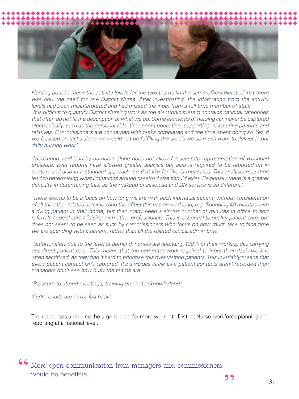

*Nursing post because the activity levels for the two teams (in the same office) dictated that there was only the need for one District Nurse. After investigating, the information from the activity levels had been misinterpreted and had missed the input from a full time member of staff.' 'It is difficult to quantify District Nursing work as the electronic system contains national categories that often do not fit the description of what we do. Some elements of nursing can never be captured electronically, such as the personal side, time spent educating, supporting, reassuring patients and*  relatives. Commissioners are concerned with tasks completed and the time spent doing so. Yet, if *we focused on tasks alone we would not be fulfilling the six c's we so much want to deliver in our daily nursing work.'*

*'Measuring workload by numbers alone does not allow for accurate representation of workload pressure. Ecat reports have allowed greater analysis but also is required to be reported on in context and also in a standard approach, so that like for like is measured. This analysis may then*  lead to determining what limitations around caseload size should exist. Regionally there is a greater *difficulty in determining this, as the makeup of caseload and DN service is so different.'*

*'There seems to be a focus on how long we are with each individual patient, without consideration of all the other related activities and the effect this has on workload, e.g. Spending 40 minutes with a dying patient in their home, but then many need a similar number of minutes in office to sort referrals / social care / liaising with other professionals. This is essential to quality patient care, but*  does not seem to be seen as such by commissioners who focus on how much face to face time *we are spending with a patient, rather than all the related clinical admin time.'*

*'Unfortunately due to the level of demand, nurses are spending 100% of their working day carrying out direct patient care. This means that the computer work required to input their day's work is*  often sacrificed, as they find it hard to prioritise this over visiting patients. This invariably means that every patient contact isn't captured. It's a vicious circle as if patient contacts aren't recorded then *managers don't see how busy the teams are.'*

*'Pressure to attend meetings, training etc. not acknowledged.'*

*'Audit results are never fed back.'*

The responses underline the urgent need for more work into District Nurse workforce planning and reporting at a national level.

CCMore open communication from managers and commissioners would be beneficial.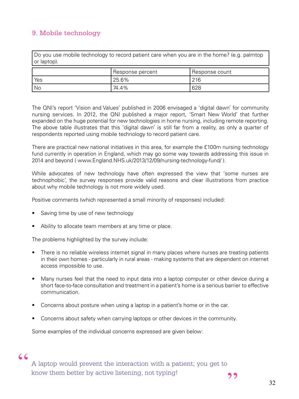# 9. Mobile technology

Do you use mobile technology to record patient care when you are in the home? (e.g. palmtop or laptop).

|      | <b>Response percent</b> | Response count |
|------|-------------------------|----------------|
| Yes  | 25.6%                   | 216            |
| ' No | 74.4%                   | 628            |

The QNI's report 'Vision and Values' published in 2006 envisaged a 'digital dawn' for community nursing services. In 2012, the QNI published a major report, 'Smart New World' that further expanded on the huge potential for new technologies in home nursing, including remote reporting. The above table illustrates that this 'digital dawn' is still far from a reality, as only a quarter of respondents reported using mobile technology to record patient care.

There are practical new national initiatives in this area, for example the £100m nursing technology fund currently in operation in England, which may go some way towards addressing this issue in 2014 and beyond ( www.England.NHS.uk/2013/12/09/nursing-technology-fund/ ).

While advocates of new technology have often expressed the view that 'some nurses are technophobic', the survey responses provide valid reasons and clear illustrations from practice about why mobile technology is not more widely used.

Positive comments (which represented a small minority of responses) included:

- Saving time by use of new technology
- Ability to allocate team members at any time or place.

The problems highlighted by the survey include:

- There is no reliable wireless internet signal in many places where nurses are treating patients in their own homes - particularly in rural areas - making systems that are dependent on internet access impossible to use.
- Many nurses feel that the need to input data into a laptop computer or other device during a short face-to-face consultation and treatment in a patient's home is a serious barrier to effective communication.
- Concerns about posture when using a laptop in a patient's home or in the car.
- Concerns about safety when carrying laptops or other devices in the community.

Some examples of the individual concerns expressed are given below:

# "

A laptop would prevent the interaction with a patient; you get to know them better by active listening, not typing!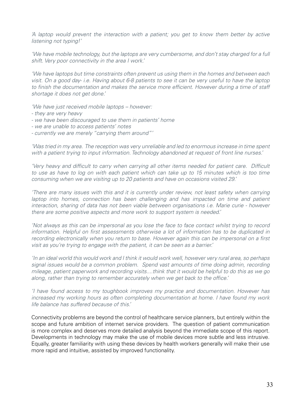*'A laptop would prevent the interaction with a patient; you get to know them better by active listening not typing!'*

*'We have mobile technology, but the laptops are very cumbersome, and don't stay charged for a full shift. Very poor connectivity in the area I work.'*

*'We have laptops but time constraints often prevent us using them in the homes and between each visit. On a good day- i.e. Having about 6-8 patients to see it can be very useful to have the laptop*  to finish the documentation and makes the service more efficient. However during a time of staff *shortage it does not get done.'*

*'We have just received mobile laptops – however:*

- *they are very heavy*
- *we have been discouraged to use them in patients' home*
- *we are unable to access patients' notes*
- *currently we are merely "carrying them around"'*

*'Was tried in my area. The reception was very unreliable and led to enormous increase in time spent with a patient trying to input information. Technology abandoned at request of front line nurses.'*

*'Very heavy and difficult to carry when carrying all other items needed for patient care. Difficult*  to use as have to log on with each patient which can take up to 15 minutes which is too time *consuming when we are visiting up to 20 patients and have on occasions visited 29.'*

*'There are many issues with this and it is currently under review, not least safety when carrying laptop into homes, connection has been challenging and has impacted on time and patient interaction, sharing of data has not been viable between organisations i.e. Marie curie - however there are some positive aspects and more work to support system is needed.'*

*'Not always as this can be impersonal as you lose the face to face contact whilst trying to record information. Helpful on first assessments otherwise a lot of information has to be duplicated in recording electronically when you return to base. However again this can be impersonal on a first visit as you're trying to engage with the patient, it can be seen as a barrier.'*

*'In an ideal world this would work and I think it would work well, however very rural area, so perhaps signal issues would be a common problem. Spend vast amounts of time doing admin, recording mileage, patient paperwork and recording visits....think that it would be helpful to do this as we go along, rather than trying to remember accurately when we get back to the office.'*

*'I have found access to my toughbook improves my practice and documentation. However has increased my working hours as often completing documentation at home. I have found my work life balance has suffered because of this.'*

Connectivity problems are beyond the control of healthcare service planners, but entirely within the scope and future ambition of internet service providers. The question of patient communication is more complex and deserves more detailed analysis beyond the immediate scope of this report. Developments in technology may make the use of mobile devices more subtle and less intrusive. Equally, greater familiarity with using these devices by health workers generally will make their use more rapid and intuitive, assisted by improved functionality.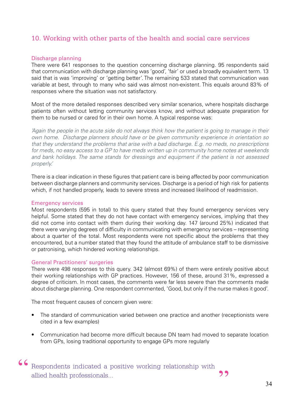# 10. Working with other parts of the health and social care services

# Discharge planning

There were 641 responses to the question concerning discharge planning. 95 respondents said that communication with discharge planning was 'good', 'fair' or used a broadly equivalent term. 13 said that is was 'improving' or 'getting better'. The remaining 533 stated that communication was variable at best, through to many who said was almost non-existent. This equals around 83% of responses where the situation was not satisfactory.

Most of the more detailed responses described very similar scenarios, where hospitals discharge patients often without letting community services know, and without adequate preparation for them to be nursed or cared for in their own home. A typical response was:

*'Again the people in the acute side do not always think how the patient is going to manage in their own home. Discharge planners should have or be given community experience in orientation so that they understand the problems that arise with a bad discharge. E.g. no meds, no prescriptions for meds, no easy access to a GP to have meds written up in community home notes at weekends and bank holidays. The same stands for dressings and equipment if the patient is not assessed properly.'*

There is a clear indication in these figures that patient care is being affected by poor communication between discharge planners and community services. Discharge is a period of high risk for patients which, if not handled properly, leads to severe stress and increased likelihood of readmission.

#### Emergency services

Most respondents (595 in total) to this query stated that they found emergency services very helpful. Some stated that they do not have contact with emergency services, implying that they did not come into contact with them during their working day. 147 (around 25%) indicated that there were varying degrees of difficulty in communicating with emergency services – representing about a quarter of the total. Most respondents were not specific about the problems that they encountered, but a number stated that they found the attitude of ambulance staff to be dismissive or patronising, which hindered working relationships.

#### General Practitioners' surgeries

There were 498 responses to this query. 342 (almost 69%) of them were entirely positive about their working relationships with GP practices. However, 156 of these, around 31%, expressed a degree of criticism. In most cases, the comments were far less severe than the comments made about discharge planning. One respondent commented, 'Good, but only if the nurse makes it good'.

The most frequent causes of concern given were:

- The standard of communication varied between one practice and another (receptionists were cited in a few examples)
- Communication had become more difficult because DN team had moved to separate location from GPs, losing traditional opportunity to engage GPs more regularly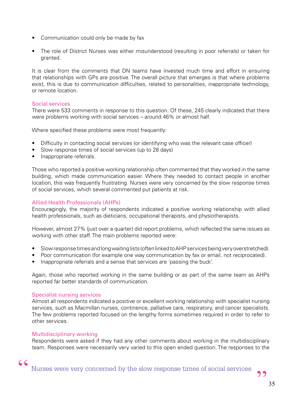- Communication could only be made by fax
- The role of District Nurses was either misunderstood (resulting in poor referrals) or taken for granted.

It is clear from the comments that DN teams have invested much time and effort in ensuring that relationships with GPs are positive. The overall picture that emerges is that where problems exist, this is due to communication difficulties, related to personalities, inappropriate technology, or remote location.

# Social services

There were 533 comments in response to this question. Of these, 245 clearly indicated that there were problems working with social services – around 46% or almost half.

Where specified these problems were most frequently:

- Difficulty in contacting social services (or identifying who was the relevant case officer)
- Slow response times of social services (up to 28 days)
- Inappropriate referrals.

Those who reported a positive working relationship often commented that they worked in the same building, which made communication easier. Where they needed to contact people in another location, this was frequently frustrating. Nurses were very concerned by the slow response times of social services, which several commented put patients at risk.

# Allied Health Professionals (AHPs)

Encouragingly, the majority of respondents indicated a positive working relationship with allied health professionals, such as dieticians, occupational therapists, and physiotherapists.

However, almost 27% (just over a quarter) did report problems, which reflected the same issues as working with other staff. The main problems reported were:

- Slow response times and long waiting lists (often linked to AHP services being very overstretched).
- Poor communication (for example one way communication by fax or email, not reciprocated).
- Inappropriate referrals and a sense that services are 'passing the buck'.

Again, those who reported working in the same building or as part of the same team as AHPs reported far better standards of communication.

# Specialist nursing services

Almost all respondents indicated a positive or excellent working relationship with specialist nursing services, such as Macmillan nurses, continence, palliative care, respiratory, and cancer specialists. The few problems reported focused on the lengthy forms sometimes required in order to refer to other services.

# Multidisciplinary working

"

Respondents were asked if they had any other comments about working in the multidisciplinary team. Responses were necessarily very varied to this open ended question. The responses to the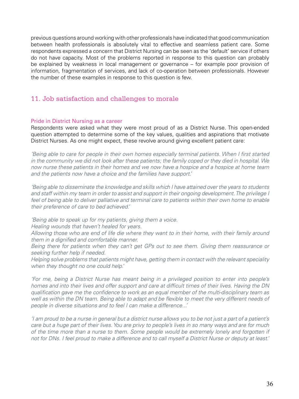previous questions around working with other professionals have indicated that good communication between health professionals is absolutely vital to effective and seamless patient care. Some respondents expressed a concern that District Nursing can be seen as the 'default' service if others do not have capacity. Most of the problems reported in response to this question can probably be explained by weakness in local management or governance – for example poor provision of information, fragmentation of services, and lack of co-operation between professionals. However the number of these examples in response to this question is few.

# 11. Job satisfaction and challenges to morale

# Pride in District Nursing as a career

Respondents were asked what they were most proud of as a District Nurse. This open-ended question attempted to determine some of the key values, qualities and aspirations that motivate District Nurses. As one might expect, these revolve around giving excellent patient care:

*'Being able to care for people in their own homes especially terminal patients. When I first started in the community we did not look after these patients; the family coped or they died in hospital. We now nurse these patients in their homes and we now have a hospice and a hospice at home team and the patients now have a choice and the families have support.'*

*'Being able to disseminate the knowledge and skills which I have attained over the years to students and staff within my team in order to assist and support in their ongoing development. The privilege I feel of being able to deliver palliative and terminal care to patients within their own home to enable their preference of care to bed achieved.'*

*'Being able to speak up for my patients, giving them a voice.*

*Healing wounds that haven't healed for years.*

*Allowing those who are end of life die where they want to in their home, with their family around them in a dignified and comfortable manner.*

*Being there for patients when they can't get GPs out to see them. Giving them reassurance or seeking further help if needed.*

*Helping solve problems that patients might have, getting them in contact with the relevant speciality when they thought no one could help.'*

*'For me, being a District Nurse has meant being in a privileged position to enter into people's homes and into their lives and offer support and care at difficult times of their lives. Having the DN qualification gave me the confidence to work as an equal member of the multi-disciplinary team as well as within the DN team. Being able to adapt and be flexible to meet the very different needs of people in diverse situations and to feel I can make a difference...'*

*'I am proud to be a nurse in general but a district nurse allows you to be not just a part of a patient's care but a huge part of their lives. You are privy to people's lives in so many ways and are for much of the time more than a nurse to them. Some people would be extremely lonely and forgotten if not for DNs. I feel proud to make a difference and to call myself a District Nurse or deputy at least.'*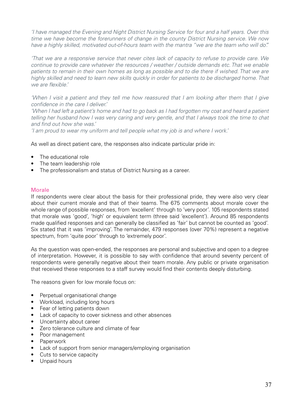*'I have managed the Evening and Night District Nursing Service for four and a half years. Over this time we have become the forerunners of change in the county District Nursing service. We now have a highly skilled, motivated out-of-hours team with the mantra "we are the team who will do".'*

*'That we are a responsive service that never cites lack of capacity to refuse to provide care. We continue to provide care whatever the resources / weather / outside demands etc. That we enable*  patients to remain in their own homes as long as possible and to die there if wished. That we are *highly skilled and need to learn new skills quickly in order for patients to be discharged home. That we are flexible.'*

*'When I visit a patient and they tell me how reassured that I am looking after them that I give confidence in the care I deliver.'*

*'When I had left a patient's home and had to go back as I had forgotten my coat and heard a patient telling her husband how I was very caring and very gentle, and that I always took the time to chat and find out how she was.'*

*'I am proud to wear my uniform and tell people what my job is and where I work.'*

As well as direct patient care, the responses also indicate particular pride in:

- The educational role
- The team leadership role
- The professionalism and status of District Nursing as a career.

## **Morale**

If respondents were clear about the basis for their professional pride, they were also very clear about their current morale and that of their teams. The 675 comments about morale cover the whole range of possible responses, from 'excellent' through to 'very poor'. 105 respondents stated that morale was 'good', 'high' or equivalent term (three said 'excellent'). Around 85 respondents made qualified responses and can generally be classified as 'fair' but cannot be counted as 'good'. Six stated that it was 'improving'. The remainder, 479 responses (over 70%) represent a negative spectrum, from 'quite poor' through to 'extremely poor'.

As the question was open-ended, the responses are personal and subjective and open to a degree of interpretation. However, it is possible to say with confidence that around seventy percent of respondents were generally negative about their team morale. Any public or private organisation that received these responses to a staff survey would find their contents deeply disturbing.

The reasons given for low morale focus on:

- Perpetual organisational change
- Workload, including long hours
- Fear of letting patients down
- Lack of capacity to cover sickness and other absences
- Uncertainty about career
- Zero tolerance culture and climate of fear
- Poor management
- Paperwork
- Lack of support from senior managers/employing organisation
- Cuts to service capacity
- Unpaid hours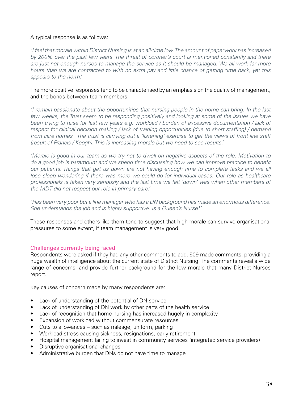# A typical response is as follows:

*'I feel that morale within District Nursing is at an all-time low. The amount of paperwork has increased by 200% over the past few years. The threat of coroner's court is mentioned constantly and there are just not enough nurses to manage the service as it should be managed. We all work far more hours than we are contracted to with no extra pay and little chance of getting time back, yet this appears to the norm.'*

# The more positive responses tend to be characterised by an emphasis on the quality of management, and the bonds between team members:

*'I remain passionate about the opportunities that nursing people in the home can bring. In the last*  few weeks, the Trust seem to be responding positively and looking at some of the issues we have *been trying to raise for last few years e.g. workload / burden of excessive documentation / lack of respect for clinical decision making / lack of training opportunities (due to short staffing) / demand from care homes . The Trust is carrying out a 'listening' exercise to get the views of front line staff (result of Francis / Keogh). This is increasing morale but we need to see results.'*

*'Morale is good in our team as we try not to dwell on negative aspects of the role. Motivation to do a good job is paramount and we spend time discussing how we can improve practice to benefit our patients. Things that get us down are not having enough time to complete tasks and we all*  lose sleep wondering if there was more we could do for individual cases. Our role as healthcare *professionals is taken very seriously and the last time we felt 'down' was when other members of the MDT did not respect our role in primary care.'*

*'Has been very poor but a line manager who has a DN background has made an enormous difference. She understands the job and is highly supportive. Is a Queen's Nurse!'*

These responses and others like them tend to suggest that high morale can survive organisational pressures to some extent, if team management is very good.

# Challenges currently being faced

Respondents were asked if they had any other comments to add. 509 made comments, providing a huge wealth of intelligence about the current state of District Nursing. The comments reveal a wide range of concerns, and provide further background for the low morale that many District Nurses report.

Key causes of concern made by many respondents are:

- Lack of understanding of the potential of DN service
- Lack of understanding of DN work by other parts of the health service
- Lack of recognition that home nursing has increased hugely in complexity
- Expansion of workload without commensurate resources
- Cuts to allowances such as mileage, uniform, parking
- Workload stress causing sickness, resignations, early retirement
- Hospital management failing to invest in community services (integrated service providers)
- Disruptive organisational changes
- Administrative burden that DNs do not have time to manage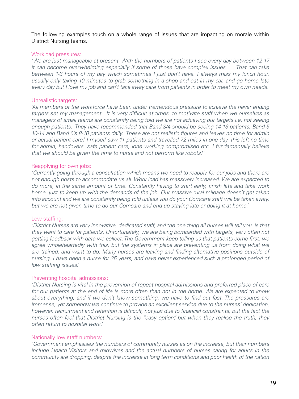The following examples touch on a whole range of issues that are impacting on morale within District Nursing teams.

#### Workload pressures:

*'We are just manageable at present. With the numbers of patients I see every day between 12-17 it can become overwhelming especially if some of those have complex issues …. That can take between 1-3 hours of my day which sometimes I just don't have. I always miss my lunch hour, usually only taking 10 minutes to grab something in a shop and eat in my car, and go home late every day but I love my job and can't take away care from patients in order to meet my own needs.'*

#### Unrealistic targets:

*'All members of the workforce have been under tremendous pressure to achieve the never ending targets set my management. It is very difficult at times, to motivate staff when we ourselves as managers of small teams are constantly being told we are not achieving our targets i.e. not seeing enough patients. They have recommended that Band 3/4 should be seeing 14-16 patients, Band 5 10-14 and Band 6's 8-10 patients daily. These are not realistic figures and leaves no time for admin or actual patient care! I myself saw 11 patients and travelled 72 miles in one day, this left no time*  for admin, handovers, safe patient care, lone working compromised etc. I fundamentally believe *that we should be given the time to nurse and not perform like robots!'*

## Reapplying for own jobs:

*'Currently going through a consultation which means we need to reapply for our jobs and there are not enough posts to accommodate us all. Work load has massively increased. We are expected to do more, in the same amount of time. Constantly having to start early, finish late and take work home, just to keep up with the demands of the job. Our massive rural mileage doesn't get taken into account and we are constantly being told unless you do your Comcare staff will be taken away, but we are not given time to do our Comcare and end up staying late or doing it at home.'*

#### Low staffing:

*'District Nurses are very innovative, dedicated staff, and the one thing all nurses will tell you, is that they want to care for patients. Unfortunately, we are being bombarded with targets, very often not getting feedback with data we collect. The Government keep telling us that patients come first, we agree wholeheartedly with this, but the systems in place are preventing us from doing what we are trained, and want to do. Many nurses are leaving and finding alternative positions outside of nursing. I have been a nurse for 35 years, and have never experienced such a prolonged period of low staffing issues.'*

#### Preventing hospital admissions:

*'District Nursing is vital in the prevention of repeat hospital admissions and preferred place of care for our patients at the end of life is more often than not in the home. We are expected to know about everything, and if we don't know something, we have to find out fast. The pressures are immense, yet somehow we continue to provide an excellent service due to the nurses' dedication, however, recruitment and retention is difficult, not just due to financial constraints, but the fact the nurses often feel that District Nursing is the "easy option", but when they realise the truth, they often return to hospital work.'*

#### Nationally low staff numbers:

*'Government emphasises the numbers of community nurses as on the increase, but their numbers include Health Visitors and midwives and the actual numbers of nurses caring for adults in the community are dropping, despite the increase in long term conditions and poor health of the nation*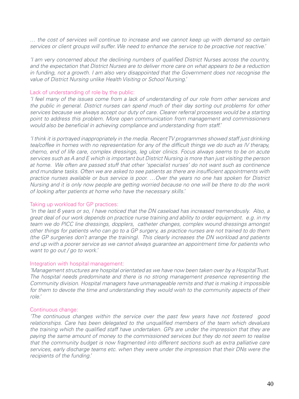*… the cost of services will continue to increase and we cannot keep up with demand so certain services or client groups will suffer. We need to enhance the service to be proactive not reactive.'*

*'I am very concerned about the declining numbers of qualified District Nurses across the country, and the expectation that District Nurses are to deliver more care on what appears to be a reduction in funding, not a growth. I am also very disappointed that the Government does not recognise the value of District Nursing unlike Health Visiting or School Nursing.'*

#### Lack of understanding of role by the public:

*'I feel many of the issues come from a lack of understanding of our role from other services and the public in general. District nurses can spend much of their day sorting out problems for other services because we always accept our duty of care. Clearer referral processes would be a starting point to address this problem. More open communication from management and commissioners would also be beneficial in achieving compliance and understanding from staff.'*

*'I think it is portrayed inappropriately in the media. Recent TV programmes showed staff just drinking tea/coffee in homes with no representation for any of the difficult things we do such as IV therapy, chemo, end of life care, complex dressings, leg ulcer clinics. Focus always seems to be on acute services such as A and E which is important but District Nursing is more than just visiting the person at home. We often are passed stuff that other 'specialist nurses' do not want such as continence and mundane tasks. Often we are asked to see patients as there are insufficient appointments with practice nurses available or bus service is poor. …Over the years no one has spoken for District Nursing and it is only now people are getting worried because no one will be there to do the work of looking after patients at home who have the necessary skills.'*

#### Taking up workload for GP practices:

*'In the last 6 years or so, I have noticed that the DN caseload has increased tremendously. Also, a great deal of our work depends on practice nurse training and ability to order equipment. e.g. in my team we do PICC line dressings, dopplers, catheter changes, complex wound dressings amongst other things for patients who can go to a GP surgery, as practice nurses are not trained to do them (the GP surgeries don't arrange the training). This clearly increases the DN workload and patients end up with a poorer service as we cannot always guarantee an appointment time for patients who want to go out / go to work.'*

#### Integration with hospital management:

*'Management structures are hospital orientated as we have now been taken over by a Hospital Trust. The hospital needs predominate and there is no strong management presence representing the Community division. Hospital managers have unmanageable remits and that is making it impossible for them to devote the time and understanding they would wish to the community aspects of their role.'*

#### Continuous change:

*'The continuous changes within the service over the past few years have not fostered good relationships. Care has been delegated to the unqualified members of the team which devalues the training which the qualified staff have undertaken. GPs are under the impression that they are paying the same amount of money to the commissioned services but they do not seem to realise that the community budget is now fragmented into different sections such as extra palliative care services, early discharge teams etc. when they were under the impression that their DNs were the recipients of the funding.'*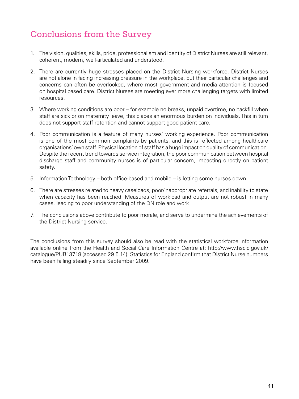# Conclusions from the Survey

- 1. The vision, qualities, skills, pride, professionalism and identity of District Nurses are still relevant, coherent, modern, well-articulated and understood.
- 2. There are currently huge stresses placed on the District Nursing workforce. District Nurses are not alone in facing increasing pressure in the workplace, but their particular challenges and concerns can often be overlooked, where most government and media attention is focused on hospital based care. District Nurses are meeting ever more challenging targets with limited resources.
- 3. Where working conditions are poor for example no breaks, unpaid overtime, no backfill when staff are sick or on maternity leave, this places an enormous burden on individuals. This in turn does not support staff retention and cannot support good patient care.
- 4. Poor communication is a feature of many nurses' working experience. Poor communication is one of the most common complaints by patients, and this is reflected among healthcare organisations' own staff. Physical location of staff has a huge impact on quality of communication. Despite the recent trend towards service integration, the poor communication between hospital discharge staff and community nurses is of particular concern, impacting directly on patient safety.
- 5. Information Technology both office-based and mobile is letting some nurses down.
- 6. There are stresses related to heavy caseloads, poor/inappropriate referrals, and inability to state when capacity has been reached. Measures of workload and output are not robust in many cases, leading to poor understanding of the DN role and work
- 7. The conclusions above contribute to poor morale, and serve to undermine the achievements of the District Nursing service.

The conclusions from this survey should also be read with the statistical workforce information available online from the Health and Social Care Information Centre at: http://www.hscic.gov.uk/ catalogue/PUB13718 (accessed 29.5.14). Statistics for England confirm that District Nurse numbers have been falling steadily since September 2009.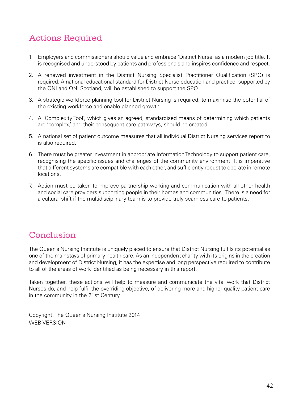# Actions Required

- 1. Employers and commissioners should value and embrace 'District Nurse' as a modern job title. It is recognised and understood by patients and professionals and inspires confidence and respect.
- 2. A renewed investment in the District Nursing Specialist Practitioner Qualification (SPQ) is required. A national educational standard for District Nurse education and practice, supported by the QNI and QNI Scotland, will be established to support the SPQ.
- 3. A strategic workforce planning tool for District Nursing is required, to maximise the potential of the existing workforce and enable planned growth.
- 4. A 'Complexity Tool', which gives an agreed, standardised means of determining which patients are 'complex,' and their consequent care pathways, should be created.
- 5. A national set of patient outcome measures that all individual District Nursing services report to is also required.
- 6. There must be greater investment in appropriate Information Technology to support patient care, recognising the specific issues and challenges of the community environment. It is imperative that different systems are compatible with each other, and sufficiently robust to operate in remote locations.
- 7. Action must be taken to improve partnership working and communication with all other health and social care providers supporting people in their homes and communities. There is a need for a cultural shift if the multidisciplinary team is to provide truly seamless care to patients.

# **Conclusion**

The Queen's Nursing Institute is uniquely placed to ensure that District Nursing fulfils its potential as one of the mainstays of primary health care. As an independent charity with its origins in the creation and development of District Nursing, it has the expertise and long perspective required to contribute to all of the areas of work identified as being necessary in this report.

Taken together, these actions will help to measure and communicate the vital work that District Nurses do, and help fulfil the overriding objective, of delivering more and higher quality patient care in the community in the 21st Century.

Copyright: The Queen's Nursing Institute 2014 WEB VERSION